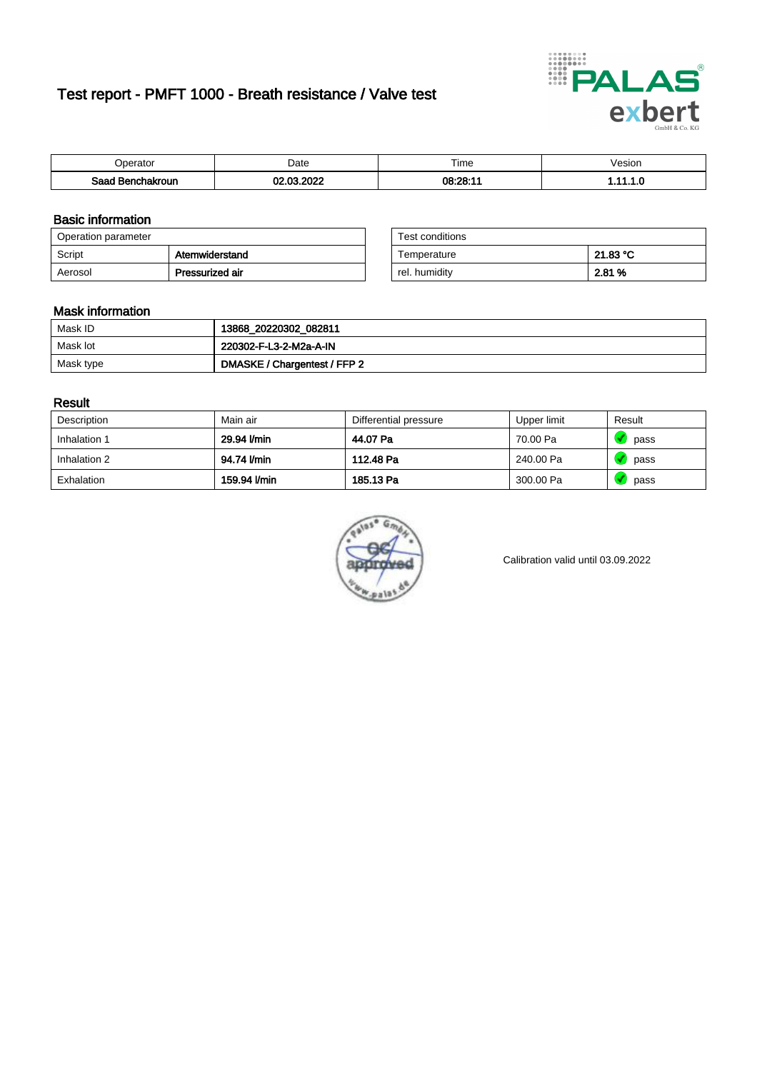# Test report - PMFT 1000 - Breath resistance / Valve test



| Inaratai<br>aator           | Date | $- \cdot$<br><b>Time</b> | esion |
|-----------------------------|------|--------------------------|-------|
| Saad<br><b>chakroun</b><br> | 000  | 08:28:11                 | .     |

### Basic information

| Operation parameter |                 | Test conditions |          |
|---------------------|-----------------|-----------------|----------|
| Script              | Atemwiderstand  | Temperature     | 21.83 °C |
| Aerosol             | Pressurized air | rel. humidity   | 2.81 %   |

| Test conditions |          |
|-----------------|----------|
| Temperature     | 21.83 °C |
| rel. humidity   | 2.81 %   |

### Mask information

| Mask ID   | 13868_20220302_082811        |
|-----------|------------------------------|
| Mask lot  | 220302-F-L3-2-M2a-A-IN       |
| Mask type | DMASKE / Chargentest / FFP 2 |

### Result

| Description  | Main air     | Differential pressure | Upper limit | Result |
|--------------|--------------|-----------------------|-------------|--------|
| Inhalation 1 | 29.94 l/min  | 44.07 Pa              | 70.00 Pa    | pass   |
| Inhalation 2 | 94.74 I/min  | 112.48 Pa             | 240.00 Pa   | pass   |
| Exhalation   | 159.94 l/min | 185.13 Pa             | 300.00 Pa   | pass   |



Calibration valid until 03.09.2022